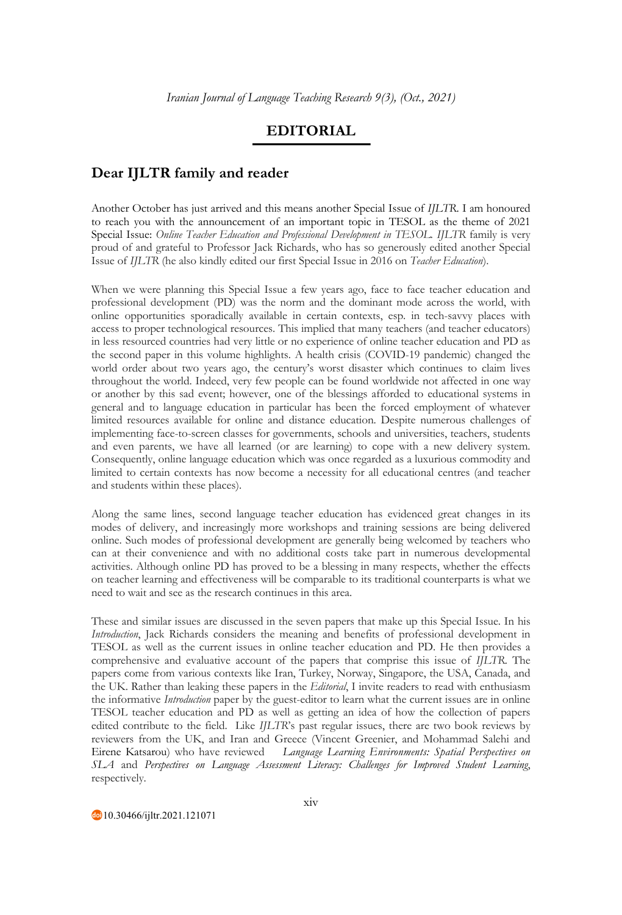## **EDITORIAL**

## **Dear IJLTR family and reader**

Another October has just arrived and this means another Special Issue of *IJLTR*. I am honoured to reach you with the announcement of an important topic in TESOL as the theme of 2021 Special Issue: *Online Teacher Education and Professional Development in TESOL. IJLTR* family is very proud of and grateful to Professor Jack Richards, who has so generously edited another Special Issue of *IJLTR* (he also kindly edited our first Special Issue in 2016 on *Teacher Education*).

When we were planning this Special Issue a few years ago, face to face teacher education and professional development (PD) was the norm and the dominant mode across the world, with online opportunities sporadically available in certain contexts, esp. in tech-savvy places with access to proper technological resources. This implied that many teachers (and teacher educators) in less resourced countries had very little or no experience of online teacher education and PD as the second paper in this volume highlights. A health crisis (COVID-19 pandemic) changed the world order about two years ago, the century's worst disaster which continues to claim lives throughout the world. Indeed, very few people can be found worldwide not affected in one way or another by this sad event; however, one of the blessings afforded to educational systems in general and to language education in particular has been the forced employment of whatever limited resources available for online and distance education. Despite numerous challenges of implementing face-to-screen classes for governments, schools and universities, teachers, students and even parents, we have all learned (or are learning) to cope with a new delivery system. Consequently, online language education which was once regarded as a luxurious commodity and limited to certain contexts has now become a necessity for all educational centres (and teacher and students within these places).

Along the same lines, second language teacher education has evidenced great changes in its modes of delivery, and increasingly more workshops and training sessions are being delivered online. Such modes of professional development are generally being welcomed by teachers who can at their convenience and with no additional costs take part in numerous developmental activities. Although online PD has proved to be a blessing in many respects, whether the effects on teacher learning and effectiveness will be comparable to its traditional counterparts is what we need to wait and see as the research continues in this area.

These and similar issues are discussed in the seven papers that make up this Special Issue. In his *Introduction*, Jack Richards considers the meaning and benefits of professional development in TESOL as well as the current issues in online teacher education and PD. He then provides a comprehensive and evaluative account of the papers that comprise this issue of *IJLTR*. The papers come from various contexts like Iran, Turkey, Norway, Singapore, the USA, Canada, and the UK. Rather than leaking these papers in the *Editorial*, I invite readers to read with enthusiasm the informative *Introduction* paper by the guest-editor to learn what the current issues are in online TESOL teacher education and PD as well as getting an idea of how the collection of papers edited contribute to the field. Like *IJLTR*'s past regular issues, there are two book reviews by reviewers from the UK, and Iran and Greece (Vincent Greenier, and Mohammad Salehi and Eirene Katsarou) who have reviewed *Language Learning Environments: Spatial Perspectives on SLA* and *Perspectives on Language Assessment Literacy: Challenges for Improved Student Learning*, respectively.

10.30466/ijltr.2021.121071